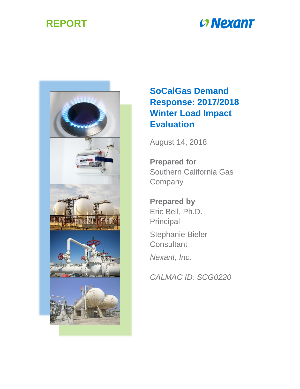## **REPORT**

# **Convergent**



## **SoCalGas Demand Response: 2017/2018 Winter Load Impact Evaluation**

August 14, 2018

**Prepared for** Southern California Gas **Company** 

**Prepared by** Eric Bell, Ph.D. Principal Stephanie Bieler **Consultant** *Nexant, Inc.*

*CALMAC ID: SCG0220*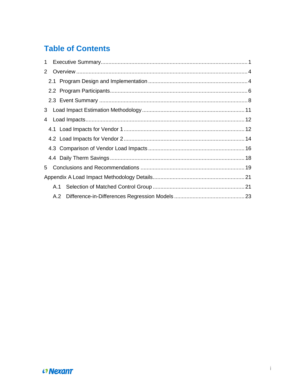## **Table of Contents**

| $\mathbf 1$ |     |  |
|-------------|-----|--|
| 2           |     |  |
|             |     |  |
|             |     |  |
|             |     |  |
|             |     |  |
| 4           |     |  |
|             |     |  |
|             |     |  |
|             |     |  |
|             |     |  |
| 5           |     |  |
|             |     |  |
|             |     |  |
|             | A.2 |  |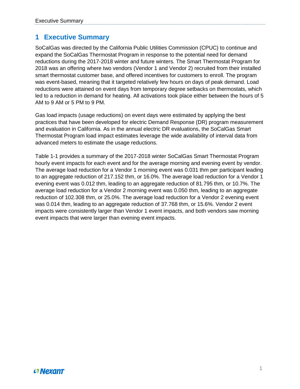## <span id="page-2-0"></span>**1 Executive Summary**

SoCalGas was directed by the California Public Utilities Commission (CPUC) to continue and expand the SoCalGas Thermostat Program in response to the potential need for demand reductions during the 2017-2018 winter and future winters. The Smart Thermostat Program for 2018 was an offering where two vendors (Vendor 1 and Vendor 2) recruited from their installed smart thermostat customer base, and offered incentives for customers to enroll. The program was event-based, meaning that it targeted relatively few hours on days of peak demand. Load reductions were attained on event days from temporary degree setbacks on thermostats, which led to a reduction in demand for heating. All activations took place either between the hours of 5 AM to 9 AM or 5 PM to 9 PM.

Gas load impacts (usage reductions) on event days were estimated by applying the best practices that have been developed for electric Demand Response (DR) program measurement and evaluation in California. As in the annual electric DR evaluations, the SoCalGas Smart Thermostat Program load impact estimates leverage the wide availability of interval data from advanced meters to estimate the usage reductions.

Table 1-1 provides a summary of the 2017-2018 winter SoCalGas Smart Thermostat Program hourly event impacts for each event and for the average morning and evening event by vendor. The average load reduction for a Vendor 1 morning event was 0.031 thm per participant leading to an aggregate reduction of 217.152 thm, or 16.0%. The average load reduction for a Vendor 1 evening event was 0.012 thm, leading to an aggregate reduction of 81.795 thm, or 10.7%. The average load reduction for a Vendor 2 morning event was 0.050 thm, leading to an aggregate reduction of 102.308 thm, or 25.0%. The average load reduction for a Vendor 2 evening event was 0.014 thm, leading to an aggregate reduction of 37.768 thm, or 15.6%. Vendor 2 event impacts were consistently larger than Vendor 1 event impacts, and both vendors saw morning event impacts that were larger than evening event impacts.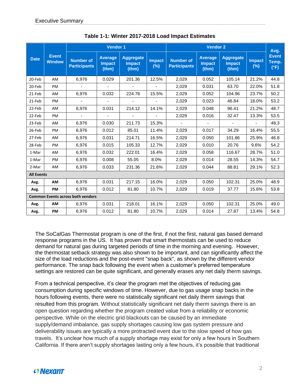|                   |                               | <b>Vendor 1</b>                          |                                          |                                            |                         | <b>Vendor 2</b>                         |                                          |                                            |                         | Avg.                          |
|-------------------|-------------------------------|------------------------------------------|------------------------------------------|--------------------------------------------|-------------------------|-----------------------------------------|------------------------------------------|--------------------------------------------|-------------------------|-------------------------------|
| <b>Date</b>       | <b>Event</b><br><b>Window</b> | <b>Number of</b><br><b>Participants</b>  | <b>Average</b><br><b>Impact</b><br>(thm) | <b>Aggregate</b><br><b>Impact</b><br>(thm) | <b>Impact</b><br>$(\%)$ | <b>Number of</b><br><b>Participants</b> | <b>Average</b><br><b>Impact</b><br>(thm) | <b>Aggregate</b><br><b>Impact</b><br>(thm) | <b>Impact</b><br>$(\%)$ | <b>Event</b><br>Temp.<br>(°F) |
| 20-Feb            | AM                            | 6,976                                    | 0.029                                    | 201.36                                     | 12.5%                   | 2,029                                   | 0.052                                    | 105.14                                     | 21.2%                   | 44.8                          |
| 20-Feb            | PM                            | $\blacksquare$                           | $\blacksquare$                           |                                            |                         | 2,029                                   | 0.031                                    | 63.70                                      | 22.0%                   | 51.8                          |
| 21-Feb            | AM                            | 6,976                                    | 0.032                                    | 224.78                                     | 15.5%                   | 2,029                                   | 0.052                                    | 104.96                                     | 23.7%                   | 50.2                          |
| 21-Feb            | PM                            | $\sim$                                   | $\omega$                                 | $\sim$                                     | $\blacksquare$          | 2,029                                   | 0.023                                    | 46.84                                      | 18.0%                   | 53.2                          |
| 22-Feb            | AM                            | 6,976                                    | 0.031                                    | 214.12                                     | 14.1%                   | 2,029                                   | 0.048                                    | 96.41                                      | 21.2%                   | 48.7                          |
| 22-Feb            | PM                            | $\overline{\phantom{a}}$                 | $\blacksquare$                           |                                            |                         | 2,029                                   | 0.016                                    | 32.47                                      | 13.3%                   | 53.5                          |
| 23-Feb            | AM                            | 6,976                                    | 0.030                                    | 211.73                                     | 15.3%                   | $\sim$                                  | $\blacksquare$                           | $\sim$                                     | $\blacksquare$          | 48.3                          |
| 26-Feb            | PM                            | 6,976                                    | 0.012                                    | 85.01                                      | 11.4%                   | 2,029                                   | 0.017                                    | 34.29                                      | 16.4%                   | 55.5                          |
| 27-Feb            | AM                            | 6,976                                    | 0.031                                    | 214.71                                     | 16.5%                   | 2,029                                   | 0.050                                    | 101.86                                     | 25.9%                   | 46.8                          |
| 28-Feb            | PM                            | 6,976                                    | 0.015                                    | 105.33                                     | 12.7%                   | 2,029                                   | 0.010                                    | 20.76                                      | 9.6%                    | 54.2                          |
| 1-Mar             | AM                            | 6,976                                    | 0.032                                    | 222.01                                     | 16.4%                   | 2,029                                   | 0.058                                    | 116.67                                     | 28.7%                   | 51.0                          |
| 1-Mar             | PM                            | 6,976                                    | 0.008                                    | 55.05                                      | 8.0%                    | 2,029                                   | 0.014                                    | 28.55                                      | 14.3%                   | 54.7                          |
| 2-Mar             | AM.                           | 6,976                                    | 0.033                                    | 231.36                                     | 21.6%                   | 2,029                                   | 0.044                                    | 88.81                                      | 29.1%                   | 52.3                          |
| <b>All Events</b> |                               |                                          |                                          |                                            |                         |                                         |                                          |                                            |                         |                               |
| Avg.              | <b>AM</b>                     | 6,976                                    | 0.031                                    | 217.15                                     | 16.0%                   | 2,029                                   | 0.050                                    | 102.31                                     | 25.0%                   | 48.9                          |
| Avg.              | PM                            | 6,976                                    | 0.012                                    | 81.80                                      | 10.7%                   | 2,029                                   | 0.019                                    | 37.77                                      | 15.6%                   | 53.8                          |
|                   |                               | <b>Common Events across both vendors</b> |                                          |                                            |                         |                                         |                                          |                                            |                         |                               |
| Avg.              | AM                            | 6,976                                    | 0.031                                    | 218.01                                     | 16.1%                   | 2,029                                   | 0.050                                    | 102.31                                     | 25.0%                   | 49.0                          |
| Avg.              | PM                            | 6,976                                    | 0.012                                    | 81.80                                      | 10.7%                   | 2,029                                   | 0.014                                    | 27.87                                      | 13.4%                   | 54.8                          |

**Table 1-1: Winter 2017-2018 Load Impact Estimates**

The SoCalGas Thermostat program is one of the first, if not the first, natural gas based demand response programs in the US. It has proven that smart thermostats can be used to reduce demand for natural gas during targeted periods of time in the morning and evening. However, the thermostat setback strategy was also shown to be important, and can significantly affect the size of the load reductions and the post-event "snap back", as shown by the different vendor performance. The snap back following the event when a customer's preferred temperature settings are restored can be quite significant, and generally erases any net daily therm savings.

From a technical perspective, it's clear the program met the objectives of reducing gas consumption during specific windows of time. However, due to gas usage snap backs in the hours following events, there were no statistically significant net daily therm savings that resulted from this program. Without statistically significant net daily therm savings there is an open question regarding whether the program created value from a reliability or economic perspective. While on the electric grid blackouts can be caused by an immediate supply/demand imbalance, gas supply shortages causing low gas system pressure and deliverability issues are typically a more protracted event due to the slow speed of how gas travels. It's unclear how much of a supply shortage may exist for only a few hours in Southern California. If there aren't supply shortages lasting only a few hours, it's possible that traditional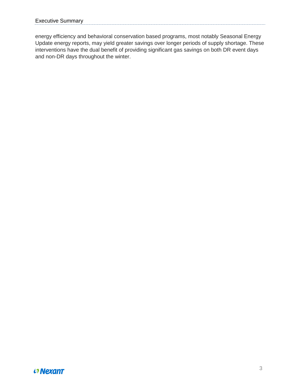energy efficiency and behavioral conservation based programs, most notably Seasonal Energy Update energy reports, may yield greater savings over longer periods of supply shortage. These interventions have the dual benefit of providing significant gas savings on both DR event days and non-DR days throughout the winter.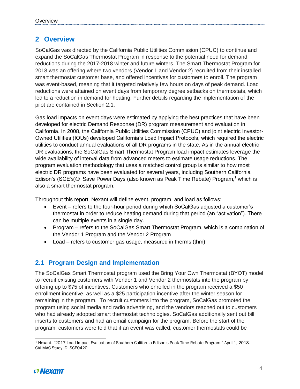## <span id="page-5-0"></span>**2 Overview**

SoCalGas was directed by the California Public Utilities Commission (CPUC) to continue and expand the SoCalGas Thermostat Program in response to the potential need for demand reductions during the 2017-2018 winter and future winters. The Smart Thermostat Program for 2018 was an offering where two vendors (Vendor 1 and Vendor 2) recruited from their installed smart thermostat customer base, and offered incentives for customers to enroll. The program was event-based, meaning that it targeted relatively few hours on days of peak demand. Load reductions were attained on event days from temporary degree setbacks on thermostats, which led to a reduction in demand for heating. Further details regarding the implementation of the pilot are contained in Section 2.1.

Gas load impacts on event days were estimated by applying the best practices that have been developed for electric Demand Response (DR) program measurement and evaluation in California. In 2008, the California Public Utilities Commission (CPUC) and joint electric Investor-Owned Utilities (IOUs) developed California's Load Impact Protocols, which required the electric utilities to conduct annual evaluations of all DR programs in the state. As in the annual electric DR evaluations, the SoCalGas Smart Thermostat Program load impact estimates leverage the wide availability of interval data from advanced meters to estimate usage reductions. The program evaluation methodology that uses a matched control group is similar to how most electric DR programs have been evaluated for several years, including Southern California Edison's (SCE's) $\odot$  Save Power Days (also known as Peak Time Rebate) Program,<sup>1</sup> which is also a smart thermostat program.

Throughout this report, Nexant will define event, program, and load as follows:

- Event refers to the four-hour period during which SoCalGas adjusted a customer's thermostat in order to reduce heating demand during that period (an "activation"). There can be multiple events in a single day.
- Program refers to the SoCalGas Smart Thermostat Program, which is a combination of the Vendor 1 Program and the Vendor 2 Program
- Load refers to customer gas usage, measured in therms (thm)

### <span id="page-5-1"></span>**2.1 Program Design and Implementation**

The SoCalGas Smart Thermostat program used the Bring Your Own Thermostat (BYOT) model to recruit existing customers with Vendor 1 and Vendor 2 thermostats into the program by offering up to \$75 of incentives. Customers who enrolled in the program received a \$50 enrollment incentive, as well as a \$25 participation incentive after the winter season for remaining in the program. To recruit customers into the program, SoCalGas promoted the program using social media and radio advertising, and the vendors reached out to customers who had already adopted smart thermostat technologies. SoCalGas additionally sent out bill inserts to customers and had an email campaign for the program. Before the start of the program, customers were told that if an event was called, customer thermostats could be

 $\overline{a}$ <sup>1</sup> Nexant. "2017 Load Impact Evaluation of Southern California Edison's Peak Time Rebate Program." April 1, 2018. CALMAC Study ID: SCE0420.

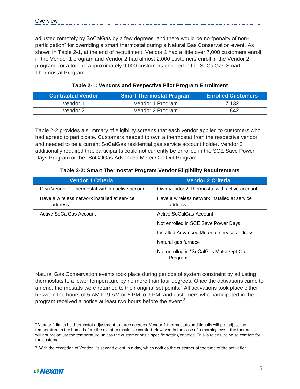adjusted remotely by SoCalGas by a few degrees, and there would be no "penalty of nonparticipation" for overriding a smart thermostat during a Natural Gas Conservation event. As shown in [Table 2-1,](#page-6-0) at the end of recruitment, Vendor 1 had a little over 7,000 customers enroll in the Vendor 1 program and Vendor 2 had almost 2,000 customers enroll in the Vendor 2 program, for a total of approximately 9,000 customers enrolled in the SoCalGas Smart Thermostat Program.

<span id="page-6-0"></span>

| <b>Contracted Vendor</b> | Smart Thermostat Program | <b>Enrolled Customers</b> |
|--------------------------|--------------------------|---------------------------|
| Vendor 1                 | Vendor 1 Program         | 7,132                     |
| Vendor 2                 | Vendor 2 Program         | 1,842                     |

#### **Table 2-1: Vendors and Respective Pilot Program Enrollment**

[Table 2-2](#page-6-1) provides a summary of eligibility screens that each vendor applied to customers who had agreed to participate. Customers needed to own a thermostat from the respective vendor and needed to be a current SoCalGas residential gas service account holder. Vendor 2 additionally required that participants could not currently be enrolled in the SCE Save Power Days Program or the "SoCalGas Advanced Meter Opt-Out Program".

#### **Table 2-2: Smart Thermostat Program Vendor Eligibility Requirements**

<span id="page-6-1"></span>

| <b>Vendor 1 Criteria</b>                                | <b>Vendor 2 Criteria</b>                                |
|---------------------------------------------------------|---------------------------------------------------------|
| Own Vendor 1 Thermostat with an active account          | Own Vendor 2 Thermostat with active account             |
| Have a wireless network installed at service<br>address | Have a wireless network installed at service<br>address |
| Active SoCalGas Account                                 | Active SoCalGas Account                                 |
|                                                         | Not enrolled in SCE Save Power Days                     |
|                                                         | Installed Advanced Meter at service address             |
|                                                         | Natural gas furnace                                     |
|                                                         | Not enrolled in "SoCalGas Meter Opt-Out<br>Program"     |

Natural Gas Conservation events took place during periods of system constraint by adjusting thermostats to a lower temperature by no more than four degrees. Once the activations came to an end, thermostats were returned to their original set points.<sup>2</sup> All activations took place either between the hours of 5 AM to 9 AM or 5 PM to 9 PM, and customers who participated in the program received a notice at least two hours before the event.<sup>3</sup>

<sup>&</sup>lt;sup>3</sup> With the exception of Vendor 1's second event in a day, which notifies the customer at the time of the activation.



 $\overline{a}$ 

<sup>2</sup> Vendor 1 limits its thermostat adjustment to three degrees. Vendor 1 thermostats additionally will pre-adjust the temperature in the home before the event to maximize comfort. However, in the case of a morning event the thermostat will not pre-adjust the temperature unless the customer has a specific setting enabled. This is to ensure noise comfort for the customer.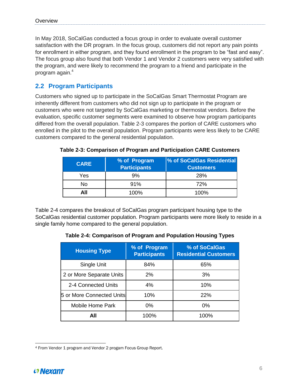In May 2018, SoCalGas conducted a focus group in order to evaluate overall customer satisfaction with the DR program. In the focus group, customers did not report any pain points for enrollment in either program, and they found enrollment in the program to be "fast and easy". The focus group also found that both Vendor 1 and Vendor 2 customers were very satisfied with the program, and were likely to recommend the program to a friend and participate in the program again.<sup>4</sup>

### <span id="page-7-0"></span>**2.2 Program Participants**

Customers who signed up to participate in the SoCalGas Smart Thermostat Program are inherently different from customers who did not sign up to participate in the program or customers who were not targeted by SoCalGas marketing or thermostat vendors. Before the evaluation, specific customer segments were examined to observe how program participants differed from the overall population. Table 2-3 compares the portion of CARE customers who enrolled in the pilot to the overall population. Program participants were less likely to be CARE customers compared to the general residential population.

| <b>CARE</b> | % of Program<br><b>Participants</b> | % of SoCalGas Residential<br><b>Customers</b> |
|-------------|-------------------------------------|-----------------------------------------------|
| Yes         | 9%                                  | 28%                                           |
| No          | 91%                                 | 72%                                           |
| All         | 100%                                | 100%                                          |

**Table 2-3: Comparison of Program and Participation CARE Customers**

Table 2-4 compares the breakout of SoCalGas program participant housing type to the SoCalGas residential customer population. Program participants were more likely to reside in a single family home compared to the general population.

**Table 2-4: Comparison of Program and Population Housing Types**

| <b>Housing Type</b>       | % of Program<br><b>Participants</b> | % of SoCalGas<br><b>Residential Customers</b> |
|---------------------------|-------------------------------------|-----------------------------------------------|
| Single Unit               | 84%                                 | 65%                                           |
| 2 or More Separate Units  | 2%                                  | 3%                                            |
| 2-4 Connected Units       | 4%                                  | 10%                                           |
| 5 or More Connected Units | 10%                                 | 22%                                           |
| Mobile Home Park          | $0\%$                               | $0\%$                                         |
| All                       | 100%                                | 100%                                          |

 $\overline{a}$ <sup>4</sup> From Vendor 1 program and Vendor 2 progam Focus Group Report.

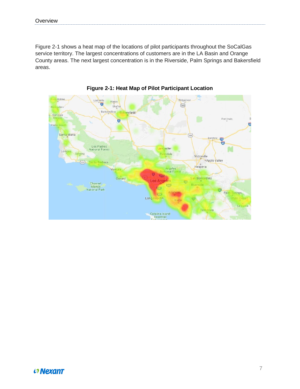Figure 2-1 shows a heat map of the locations of pilot participants throughout the SoCalGas service territory. The largest concentrations of customers are in the LA Basin and Orange County areas. The next largest concentration is in the Riverside, Palm Springs and Bakersfield areas.



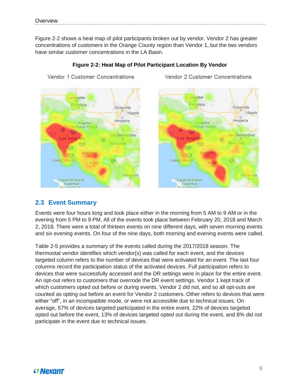Figure 2-2 shows a heat map of pilot participants broken out by vendor. Vendor 2 has greater concentrations of customers in the Orange County region than Vendor 1, but the two vendors have similar customer concentrations in the LA Basin.



Vendor 1 Customer Concentrations

#### **Figure 2-2: Heat Map of Pilot Participant Location By Vendor**

Vendor 2 Customer Concentrations



#### <span id="page-9-0"></span>**2.3 Event Summary**

Events were four hours long and took place either in the morning from 5 AM to 9 AM or in the evening from 5 PM to 9 PM. All of the events took place between February 20, 2018 and March 2, 2018. There were a total of thirteen events on nine different days, with seven morning events and six evening events. On four of the nine days, both morning and evening events were called.

Table 2-5 provides a summary of the events called during the 2017/2018 season. The thermostat vendor identifies which vendor(s) was called for each event, and the devices targeted column refers to the number of devices that were activated for an event. The last four columns record the participation status of the activated devices. Full participation refers to devices that were successfully accessed and the DR settings were in place for the entire event. An opt-out refers to customers that overrode the DR event settings. Vendor 1 kept track of which customers opted out before or during events. Vendor 2 did not, and so all opt-outs are counted as opting out before an event for Vendor 2 customers. Other refers to devices that were either "off", in an incompatible mode, or were not accessible due to technical issues. On average, 57% of devices targeted participated in the entire event, 22% of devices targeted opted out before the event, 13% of devices targeted opted out during the event, and 8% did not participate in the event due to technical issues.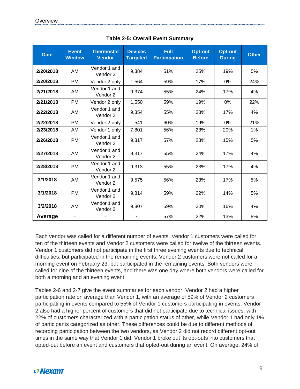| <b>Date</b> | <b>Event</b><br><b>Window</b> | <b>Thermostat</b><br><b>Vendor</b> | <b>Devices</b><br><b>Targeted</b> | <b>Full</b><br><b>Participation</b> | <b>Opt-out</b><br><b>Before</b> | <b>Opt-out</b><br><b>During</b> | <b>Other</b> |
|-------------|-------------------------------|------------------------------------|-----------------------------------|-------------------------------------|---------------------------------|---------------------------------|--------------|
| 2/20/2018   | AM                            | Vendor 1 and<br>Vendor 2           | 9,384                             | 51%                                 | 25%                             | 19%                             | 5%           |
| 2/20/2018   | <b>PM</b>                     | Vendor 2 only                      | 1,564                             | 59%                                 | 17%                             | 0%                              | 24%          |
| 2/21/2018   | AM                            | Vendor 1 and<br>Vendor 2           | 9,374                             | 55%                                 | 24%                             | 17%                             | 4%           |
| 2/21/2018   | <b>PM</b>                     | Vendor 2 only                      | 1,550                             | 59%                                 | 19%                             | 0%                              | 22%          |
| 2/22/2018   | AM                            | Vendor 1 and<br>Vendor 2           | 9,354                             | 55%                                 | 23%                             | 17%                             | 4%           |
| 2/22/2018   | <b>PM</b>                     | Vendor 2 only                      | 1,541                             | 60%                                 | 19%                             | $0\%$                           | 21%          |
| 2/23/2018   | AM                            | Vendor 1 only                      | 7,801                             | 56%                                 | 23%                             | 20%                             | 1%           |
| 2/26/2018   | <b>PM</b>                     | Vendor 1 and<br>Vendor 2           | 9,317                             | 57%                                 | 23%                             | 15%                             | 5%           |
| 2/27/2018   | AM                            | Vendor 1 and<br>Vendor 2           | 9,317                             | 55%                                 | 24%                             | 17%                             | 4%           |
| 2/28/2018   | <b>PM</b>                     | Vendor 1 and<br>Vendor 2           | 9,313                             | 55%                                 | 23%                             | 17%                             | 4%           |
| 3/1/2018    | AM                            | Vendor 1 and<br>Vendor 2           | 9,575                             | 56%                                 | 23%                             | 17%                             | 5%           |
| 3/1/2018    | <b>PM</b>                     | Vendor 1 and<br>Vendor 2           | 9,814                             | 59%                                 | 22%                             | 14%                             | 5%           |
| 3/2/2018    | AM                            | Vendor 1 and<br>Vendor 2           | 9,807                             | 59%                                 | 20%                             | 16%                             | 4%           |
| Average     | ۰                             |                                    | 57%                               | 22%                                 | 13%                             | 8%                              |              |

**Table 2-5: Overall Event Summary**

Each vendor was called for a different number of events. Vendor 1 customers were called for ten of the thirteen events and Vendor 2 customers were called for twelve of the thirteen events. Vendor 1 customers did not participate in the first three evening events due to technical difficulties, but participated in the remaining events. Vendor 2 customers were not called for a morning event on February 23, but participated in the remaining events. Both vendors were called for nine of the thirteen events, and there was one day where both vendors were called for both a morning and an evening event.

Tables 2-6 and 2-7 give the event summaries for each vendor. Vendor 2 had a higher participation rate on average than Vendor 1, with an average of 59% of Vendor 2 customers participating in events compared to 55% of Vendor 1 customers participating in events. Vendor 2 also had a higher percent of customers that did not participate due to technical issues, with 22% of customers characterized with a participation status of other, while Vendor 1 had only 1% of participants categorized as other. These differences could be due to different methods of recording participation between the two vendors, as Vendor 2 did not record different opt-out times in the same way that Vendor 1 did. Vendor 1 broke out its opt-outs into customers that opted-out before an event and customers that opted-out during an event. On average, 24% of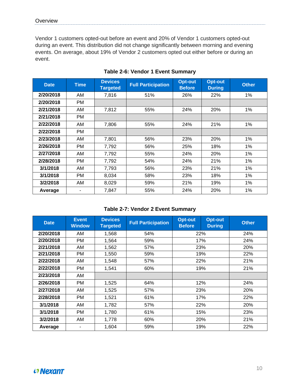Vendor 1 customers opted-out before an event and 20% of Vendor 1 customers opted-out during an event. This distribution did not change significantly between morning and evening events. On average, about 19% of Vendor 2 customers opted out either before or during an event.

| <b>Date</b> | <b>Time</b> | <b>Devices</b><br><b>Targeted</b> | <b>Full Participation</b> | <b>Opt-out</b><br><b>Before</b> | Opt-out<br><b>During</b> | <b>Other</b> |
|-------------|-------------|-----------------------------------|---------------------------|---------------------------------|--------------------------|--------------|
| 2/20/2018   | AM          | 7,816                             | 51%                       | 26%                             | 22%                      | $1\%$        |
| 2/20/2018   | <b>PM</b>   |                                   |                           |                                 |                          |              |
| 2/21/2018   | AM          | 7,812                             | 55%                       | 24%                             | 20%                      | $1\%$        |
| 2/21/2018   | PM          |                                   |                           |                                 |                          |              |
| 2/22/2018   | AM          | 7,806                             | 55%                       | 24%                             | 21%                      | 1%           |
| 2/22/2018   | <b>PM</b>   |                                   |                           |                                 |                          |              |
| 2/23/2018   | AM          | 7,801                             | 56%                       | 23%                             | 20%                      | 1%           |
| 2/26/2018   | <b>PM</b>   | 7,792                             | 56%                       | 25%                             | 18%                      | $1\%$        |
| 2/27/2018   | AM          | 7,792                             | 55%                       | 24%                             | 20%                      | $1\%$        |
| 2/28/2018   | <b>PM</b>   | 7,792                             | 54%                       | 24%                             | 21%                      | 1%           |
| 3/1/2018    | AM          | 7,793                             | 56%                       | 23%                             | 21%                      | $1\%$        |
| 3/1/2018    | <b>PM</b>   | 8,034                             | 58%                       | 23%                             | 18%                      | $1\%$        |
| 3/2/2018    | AM          | 8,029                             | 59%                       | 21%                             | 19%                      | $1\%$        |
| Average     |             | 7,847                             | 55%                       | 24%                             | 20%                      | 1%           |

#### **Table 2-6: Vendor 1 Event Summary**

#### **Table 2-7: Vendor 2 Event Summary**

| <b>Date</b> | <b>Event</b><br><b>Window</b> | <b>Devices</b><br><b>Targeted</b> | <b>Full Participation</b> | <b>Opt-out</b><br><b>Before</b> | <b>Opt-out</b><br><b>During</b> | <b>Other</b> |  |     |
|-------------|-------------------------------|-----------------------------------|---------------------------|---------------------------------|---------------------------------|--------------|--|-----|
| 2/20/2018   | AM                            | 1,568                             | 54%                       |                                 | 22%                             |              |  |     |
| 2/20/2018   | <b>PM</b>                     | 1,564                             | 59%                       |                                 | 17%                             | 24%          |  |     |
| 2/21/2018   | AM                            | 1,562                             | 57%                       |                                 | 23%                             | 20%          |  |     |
| 2/21/2018   | <b>PM</b>                     | 1,550                             | 59%                       |                                 | 19%                             | 22%          |  |     |
| 2/22/2018   | AM                            | 1,548                             | 57%                       | 22%                             |                                 |              |  | 21% |
| 2/22/2018   | <b>PM</b>                     | 1,541                             | 60%                       | 19%                             |                                 | 21%          |  |     |
| 2/23/2018   | AM                            |                                   |                           |                                 |                                 |              |  |     |
| 2/26/2018   | PM                            | 1,525                             | 64%                       |                                 | 12%                             | 24%          |  |     |
| 2/27/2018   | AM                            | 1,525                             | 57%                       |                                 | 23%                             | 20%          |  |     |
| 2/28/2018   | <b>PM</b>                     | 1,521                             | 61%                       |                                 | 17%                             | 22%          |  |     |
| 3/1/2018    | AM                            | 1,782                             | 57%                       |                                 | 22%                             | 20%          |  |     |
| 3/1/2018    | <b>PM</b>                     | 1,780                             | 61%                       | 15%                             |                                 | 23%          |  |     |
| 3/2/2018    | AM                            | 1,778                             | 60%                       | 20%                             |                                 | 21%          |  |     |
| Average     |                               | 1,604                             | 59%                       |                                 | 19%                             | 22%          |  |     |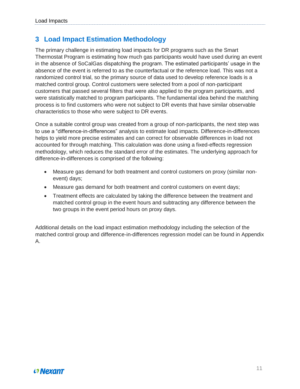## <span id="page-12-0"></span>**3 Load Impact Estimation Methodology**

The primary challenge in estimating load impacts for DR programs such as the Smart Thermostat Program is estimating how much gas participants would have used during an event in the absence of SoCalGas dispatching the program. The estimated participants' usage in the absence of the event is referred to as the counterfactual or the reference load. This was not a randomized control trial, so the primary source of data used to develop reference loads is a matched control group. Control customers were selected from a pool of non-participant customers that passed several filters that were also applied to the program participants, and were statistically matched to program participants. The fundamental idea behind the matching process is to find customers who were not subject to DR events that have similar observable characteristics to those who were subject to DR events.

Once a suitable control group was created from a group of non-participants, the next step was to use a "difference-in-differences" analysis to estimate load impacts. Difference-in-differences helps to yield more precise estimates and can correct for observable differences in load not accounted for through matching. This calculation was done using a fixed-effects regression methodology, which reduces the standard error of the estimates. The underlying approach for difference-in-differences is comprised of the following:

- Measure gas demand for both treatment and control customers on proxy (similar nonevent) days;
- Measure gas demand for both treatment and control customers on event days;
- Treatment effects are calculated by taking the difference between the treatment and matched control group in the event hours and subtracting any difference between the two groups in the event period hours on proxy days.

Additional details on the load impact estimation methodology including the selection of the matched control group and difference-in-differences regression model can be found in Appendix A.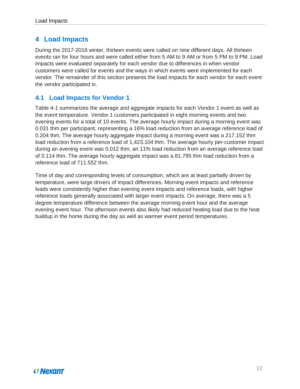## <span id="page-13-0"></span>**4 Load Impacts**

During the 2017-2018 winter, thirteen events were called on nine different days. All thirteen events ran for four hours and were called either from 5 AM to 9 AM or from 5 PM to 9 PM. Load impacts were evaluated separately for each vendor due to differences in when vendor customers were called for events and the ways in which events were implemented for each vendor. The remainder of this section presents the load impacts for each vendor for each event the vendor participated in.

### <span id="page-13-1"></span>**4.1 Load Impacts for Vendor 1**

Table 4-1 summarizes the average and aggregate impacts for each Vendor 1 event as well as the event temperature. Vendor 1 customers participated in eight morning events and two evening events for a total of 10 events. The average hourly impact during a morning event was 0.031 thm per participant, representing a 16% load reduction from an average reference load of 0.204 thm. The average hourly aggregate impact during a morning event was a 217.152 thm load reduction from a reference load of 1,423.104 thm. The average hourly per-customer impact during an evening event was 0.012 thm, an 11% load reduction from an average reference load of 0.114 thm. The average hourly aggregate impact was a 81.795 thm load reduction from a reference load of 711.552 thm.

Time of day and corresponding levels of consumption, which are at least partially driven by temperature, were large drivers of impact differences. Morning event impacts and reference loads were consistently higher than evening event impacts and reference loads, with higher reference loads generally associated with larger event impacts. On average, there was a 5 degree temperature difference between the average morning event hour and the average evening event hour. The afternoon events also likely had reduced heating load due to the heat buildup in the home during the day as well as warmer event period temperatures.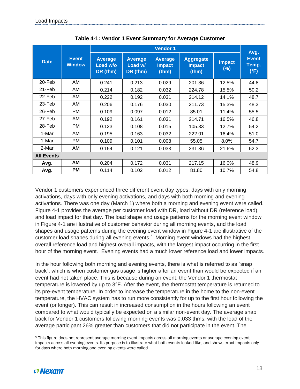|                   |                               |                                        |                                       | <b>Vendor 1</b>                          |                                            |                      | Avg.                          |
|-------------------|-------------------------------|----------------------------------------|---------------------------------------|------------------------------------------|--------------------------------------------|----------------------|-------------------------------|
| <b>Date</b>       | <b>Event</b><br><b>Window</b> | <b>Average</b><br>Load w/o<br>DR (thm) | <b>Average</b><br>Load w/<br>DR (thm) | <b>Average</b><br><b>Impact</b><br>(thm) | <b>Aggregate</b><br><b>Impact</b><br>(thm) | <b>Impact</b><br>(%) | <b>Event</b><br>Temp.<br>(°F) |
| 20-Feb            | AM.                           | 0.241                                  | 0.213                                 | 0.029                                    | 201.36                                     | 12.5%                | 44.8                          |
| 21-Feb            | AM.                           | 0.214                                  | 0.182                                 | 0.032                                    | 224.78                                     | 15.5%                | 50.2                          |
| 22-Feb            | AM                            | 0.222                                  | 0.192                                 | 0.031                                    | 214.12                                     | 14.1%                | 48.7                          |
| 23-Feb            | AM<br>0.206<br>0.176          |                                        |                                       | 0.030                                    | 211.73                                     | 15.3%                | 48.3                          |
| 26-Feb            | PM                            | 0.109                                  | 0.097                                 | 0.012                                    | 85.01                                      | 11.4%                | 55.5                          |
| 27-Feb            | AM                            | 0.192                                  | 0.161                                 | 0.031                                    | 214.71                                     | 16.5%                | 46.8                          |
| 28-Feb            | PM                            | 0.123                                  | 0.108                                 | 0.015                                    | 105.33                                     | 12.7%                | 54.2                          |
| 1-Mar             | AM.                           | 0.195                                  | 0.163                                 | 0.032                                    | 222.01                                     | 16.4%                | 51.0                          |
| 1-Mar             | PM                            | 0.109                                  | 0.101                                 | 0.008                                    | 55.05                                      | 8.0%                 | 54.7                          |
| 2-Mar             | AM                            | 0.154                                  | 0.121                                 | 0.033                                    | 231.36                                     | 21.6%                | 52.3                          |
| <b>All Events</b> |                               |                                        |                                       |                                          |                                            |                      |                               |
| Avg.              | АM                            | 0.204                                  | 0.172                                 | 0.031                                    | 217.15                                     | 16.0%                | 48.9                          |
| Avg.              | РM                            | 0.114                                  | 0.102                                 | 0.012                                    | 81.80                                      | 10.7%                | 54.8                          |

**Table 4-1: Vendor 1 Event Summary for Average Customer**

Vendor 1 customers experienced three different event day types: days with only morning activations, days with only evening activations, and days with both morning and evening activations. There was one day (March 1) where both a morning and evening event were called. [Figure 4-1](#page-15-1) provides the average per customer load with DR, load without DR (reference load), and load impact for that day. The load shape and usage patterns for the morning event window in Figure 4-1 are illustrative of customer behavior during all morning events, and the load shapes and usage patterns during the evening event window in Figure 4-1 are illustrative of the customer load shapes during all evening events.<sup>5</sup> Morning event windows had the highest overall reference load and highest overall impacts, with the largest impact occurring in the first hour of the morning event. Evening events had a much lower reference load and lower impacts.

In the hour following both morning and evening events, there is what is referred to as "snap back", which is when customer gas usage is higher after an event than would be expected if an event had not taken place. This is because during an event, the Vendor 1 thermostat temperature is lowered by up to 3°F. After the event, the thermostat temperature is returned to its pre-event temperature. In order to increase the temperature in the home to the non-event temperature, the HVAC system has to run more consistently for up to the first hour following the event (or longer). This can result in increased consumption in the hours following an event compared to what would typically be expected on a similar non-event day. The average snap back for Vendor 1 customers following morning events was 0.033 thms, with the load of the average participant 26% greater than customers that did not participate in the event. The

 <sup>5</sup> This figure does not represent average morning event impacts across all morning events or average evening event impacts across all evening events. Its purpose is to illustrate what both events looked like, and shows exact impacts only for days where both morning and evening events were called.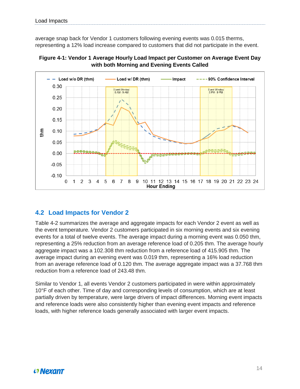average snap back for Vendor 1 customers following evening events was 0.015 therms, representing a 12% load increase compared to customers that did not participate in the event.

<span id="page-15-1"></span>



### <span id="page-15-0"></span>**4.2 Load Impacts for Vendor 2**

Table 4-2 summarizes the average and aggregate impacts for each Vendor 2 event as well as the event temperature. Vendor 2 customers participated in six morning events and six evening events for a total of twelve events. The average impact during a morning event was 0.050 thm, representing a 25% reduction from an average reference load of 0.205 thm. The average hourly aggregate impact was a 102.308 thm reduction from a reference load of 415.905 thm. The average impact during an evening event was 0.019 thm, representing a 16% load reduction from an average reference load of 0.120 thm. The average aggregate impact was a 37.768 thm reduction from a reference load of 243.48 thm.

Similar to Vendor 1, all events Vendor 2 customers participated in were within approximately 10°F of each other. Time of day and corresponding levels of consumption, which are at least partially driven by temperature, were large drivers of impact differences. Morning event impacts and reference loads were also consistently higher than evening event impacts and reference loads, with higher reference loads generally associated with larger event impacts.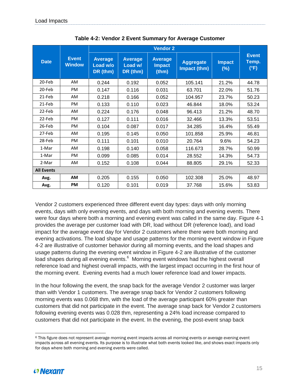|                   |                               | <b>Vendor 2</b>                        |                                       |                                          |         |                                                          |       |  |
|-------------------|-------------------------------|----------------------------------------|---------------------------------------|------------------------------------------|---------|----------------------------------------------------------|-------|--|
| <b>Date</b>       | <b>Event</b><br><b>Window</b> | <b>Average</b><br>Load w/o<br>DR (thm) | <b>Average</b><br>Load w/<br>DR (thm) | <b>Average</b><br><b>Impact</b><br>(thm) |         | <b>Impact</b><br><b>Aggregate</b><br>Impact (thm)<br>(%) |       |  |
| 20-Feb            | AM                            | 0.244                                  | 0.192                                 | 0.052                                    | 105.141 | 21.2%                                                    | 44.78 |  |
| 20-Feb            | <b>PM</b>                     | 0.147                                  | 0.116                                 | 0.031                                    | 63.701  | 22.0%                                                    | 51.76 |  |
| 21-Feb            | <b>AM</b>                     | 0.218                                  | 0.166                                 | 0.052                                    | 104.957 | 23.7%                                                    | 50.23 |  |
| 21-Feb            | <b>PM</b>                     | 0.133                                  | 0.110                                 | 0.023                                    | 46.844  | 18.0%                                                    | 53.24 |  |
| 22-Feb            | AM                            | 0.224                                  | 0.176                                 | 0.048                                    | 96.413  | 21.2%                                                    | 48.70 |  |
| 22-Feb            | <b>PM</b>                     | 0.127                                  | 0.111                                 | 0.016                                    | 32.466  | 13.3%                                                    | 53.51 |  |
| 26-Feb            | <b>PM</b>                     | 0.104                                  | 0.087                                 | 0.017                                    | 34.285  | 16.4%                                                    | 55.49 |  |
| 27-Feb            | AM                            | 0.195                                  | 0.145                                 | 0.050                                    | 101.858 | 25.9%                                                    | 46.81 |  |
| 28-Feb            | <b>PM</b>                     | 0.111                                  | 0.101                                 | 0.010                                    | 20.764  | 9.6%                                                     | 54.23 |  |
| 1-Mar             | AM                            | 0.198                                  | 0.140                                 | 0.058                                    | 116.673 | 28.7%                                                    | 50.99 |  |
| 1-Mar             | <b>PM</b>                     | 0.099                                  | 0.085                                 | 0.014                                    | 28.552  | 14.3%                                                    | 54.73 |  |
| 2-Mar             | AM                            | 0.152                                  | 0.108                                 | 0.044                                    | 88.805  | 29.1%                                                    | 52.33 |  |
| <b>All Events</b> |                               |                                        |                                       |                                          |         |                                                          |       |  |
| Avg.              | <b>AM</b>                     | 0.205                                  | 0.155                                 | 0.050                                    | 102.308 | 25.0%                                                    | 48.97 |  |
| Avg.              | <b>PM</b>                     | 0.120                                  | 0.101                                 | 0.019                                    | 37.768  | 15.6%                                                    | 53.83 |  |

**Table 4-2: Vendor 2 Event Summary for Average Customer**

Vendor 2 customers experienced three different event day types: days with only morning events, days with only evening events, and days with both morning and evening events. There were four days where both a morning and evening event was called in the same day. [Figure 4-1](#page-15-1) provides the average per customer load with DR, load without DR (reference load), and load impact for the average event day for Vendor 2 customers where there were both morning and evening activations. The load shape and usage patterns for the morning event window in Figure 4-2 are illustrative of customer behavior during all morning events, and the load shapes and usage patterns during the evening event window in Figure 4-2 are illustrative of the customer load shapes during all evening events.<sup>6</sup> Morning event windows had the highest overall reference load and highest overall impacts, with the largest impact occurring in the first hour of the morning event. Evening events had a much lower reference load and lower impacts.

In the hour following the event, the snap back for the average Vendor 2 customer was larger than with Vendor 1 customers. The average snap back for Vendor 2 customers following morning events was 0.068 thm, with the load of the average participant 60% greater than customers that did not participate in the event. The average snap back for Vendor 2 customers following evening events was 0.028 thm, representing a 24% load increase compared to customers that did not participate in the event. In the evening, the post-event snap back

 <sup>6</sup> This figure does not represent average morning event impacts across all morning events or average evening event impacts across all evening events. Its purpose is to illustrate what both events looked like, and shows exact impacts only for days where both morning and evening events were called.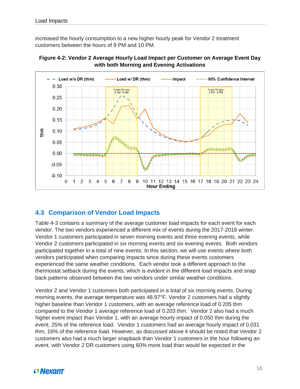increased the hourly consumption to a new higher hourly peak for Vendor 2 treatment customers between the hours of 9 PM and 10 PM.





### <span id="page-17-0"></span>**4.3 Comparison of Vendor Load Impacts**

Table 4-3 contains a summary of the average customer load impacts for each event for each vendor. The two vendors experienced a different mix of events during the 2017-2018 winter. Vendor 1 customers participated in seven morning events and three evening events, while Vendor 2 customers participated in six morning events and six evening events. Both vendors participated together in a total of nine events. In this section, we will use events where both vendors participated when comparing impacts since during these events customers experienced the same weather conditions. Each vendor took a different approach to the thermostat setback during the events, which is evident in the different load impacts and snap back patterns observed between the two vendors under similar weather conditions.

Vendor 2 and Vendor 1 customers both participated in a total of six morning events. During morning events, the average temperature was 48.97°F. Vendor 2 customers had a slightly higher baseline than Vendor 1 customers, with an average reference load of 0.205 thm compared to the Vendor 1 average reference load of 0.203 thm. Vendor 2 also had a much higher event impact than Vendor 1, with an average hourly impact of 0.050 thm during the event, 25% of the reference load. Vendor 1 customers had an average hourly impact of 0.031 thm, 16% of the reference load. However, as discussed above it should be noted that Vendor 2 customers also had a much larger snapback than Vendor 1 customers in the hour following an event, with Vendor 2 DR customers using 60% more load than would be expected in the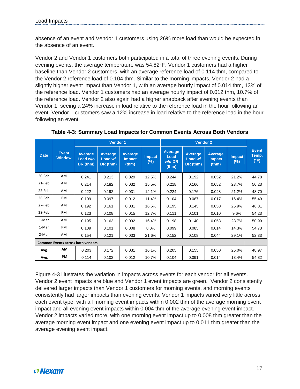absence of an event and Vendor 1 customers using 26% more load than would be expected in the absence of an event.

Vendor 2 and Vendor 1 customers both participated in a total of three evening events. During evening events, the average temperature was 54.82°F. Vendor 1 customers had a higher baseline than Vendor 2 customers, with an average reference load of 0.114 thm, compared to the Vendor 2 reference load of 0.104 thm. Similar to the morning impacts, Vendor 2 had a slightly higher event impact than Vendor 1, with an average hourly impact of 0.014 thm, 13% of the reference load. Vendor 1 customers had an average hourly impact of 0.012 thm, 10.7% of the reference load. Vendor 2 also again had a higher snapback after evening events than Vendor 1, seeing a 24% increase in load relative to the reference load in the hour following an event. Vendor 1 customers saw a 12% increase in load relative to the reference load in the hour following an event.

|                                          | <b>Vendor 1</b>               |                                        |                                |                                          |                      |                                      |                                |                                          |                      |                               |
|------------------------------------------|-------------------------------|----------------------------------------|--------------------------------|------------------------------------------|----------------------|--------------------------------------|--------------------------------|------------------------------------------|----------------------|-------------------------------|
| <b>Date</b>                              | <b>Event</b><br><b>Window</b> | <b>Average</b><br>Load w/o<br>DR (thm) | Average<br>Load w/<br>DR (thm) | <b>Average</b><br><b>Impact</b><br>(thm) | <b>Impact</b><br>(%) | Average<br>Load<br>$W/O$ DR<br>(thm) | Average<br>Load w/<br>DR (thm) | <b>Average</b><br><b>Impact</b><br>(thm) | <b>Impact</b><br>(%) | <b>Event</b><br>Temp.<br>(°F) |
| 20-Feb                                   | AM                            | 0.241                                  | 0.213                          | 0.029                                    | 12.5%                | 0.244                                | 0.192                          | 0.052                                    | 21.2%                | 44.78                         |
| 21-Feb                                   | AM                            | 0.214                                  | 0.182                          | 0.032                                    | 15.5%                | 0.218                                | 0.166                          | 0.052                                    | 23.7%                | 50.23                         |
| 22-Feb                                   | AM                            | 0.222                                  | 0.192                          | 0.031                                    | 14.1%                | 0.224                                | 0.176                          | 0.048                                    | 21.2%                | 48.70                         |
| 26-Feb                                   | <b>PM</b>                     | 0.109                                  | 0.097                          | 0.012                                    | 11.4%                | 0.104                                | 0.087                          | 0.017                                    | 16.4%                | 55.49                         |
| 27-Feb                                   | AM                            | 0.192                                  | 0.161                          | 0.031                                    | 16.5%                | 0.195                                | 0.145                          | 0.050                                    | 25.9%                | 46.81                         |
| 28-Feb                                   | PM                            | 0.123                                  | 0.108                          | 0.015                                    | 12.7%                | 0.111                                | 0.101                          | 0.010                                    | 9.6%                 | 54.23                         |
| 1-Mar                                    | AM                            | 0.195                                  | 0.163                          | 0.032                                    | 16.4%                | 0.198                                | 0.140                          | 0.058                                    | 28.7%                | 50.99                         |
| 1-Mar                                    | PM                            | 0.109                                  | 0.101                          | 0.008                                    | 8.0%                 | 0.099                                | 0.085                          | 0.014                                    | 14.3%                | 54.73                         |
| 2-Mar                                    | AM                            | 0.154                                  | 0.121                          | 0.033                                    | 21.6%                | 0.152                                | 0.108                          | 0.044                                    | 29.1%                | 52.33                         |
| <b>Common Events across both vendors</b> |                               |                                        |                                |                                          |                      |                                      |                                |                                          |                      |                               |
| Avg.                                     | AM                            | 0.203                                  | 0.172                          | 0.031                                    | 16.1%                | 0.205                                | 0.155                          | 0.050                                    | 25.0%                | 48.97                         |
| Avg.                                     | <b>PM</b>                     | 0.114                                  | 0.102                          | 0.012                                    | 10.7%                | 0.104                                | 0.091                          | 0.014                                    | 13.4%                | 54.82                         |

**Table 4-3: Summary Load Impacts for Common Events Across Both Vendors**

Figure 4-3 illustrates the variation in impacts across events for each vendor for all events. Vendor 2 event impacts are blue and Vendor 1 event impacts are green. Vendor 2 consistently delivered larger impacts than Vendor 1 customers for morning events, and morning events consistently had larger impacts than evening events. Vendor 1 impacts varied very little across each event type, with all morning event impacts within 0.002 thm of the average morning event impact and all evening event impacts within 0.004 thm of the average evening event impact. Vendor 2 impacts varied more, with one morning event impact up to 0.008 thm greater than the average morning event impact and one evening event impact up to 0.011 thm greater than the average evening event impact.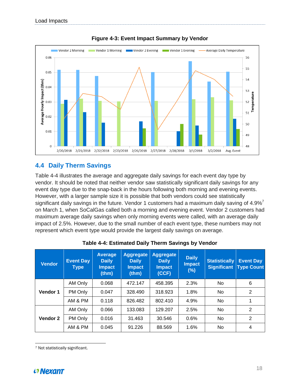

**Figure 4-3: Event Impact Summary by Vendor**

### <span id="page-19-0"></span>**4.4 Daily Therm Savings**

Table 4-4 illustrates the average and aggregate daily savings for each event day type by vendor. It should be noted that neither vendor saw statistically significant daily savings for any event day type due to the snap-back in the hours following both morning and evening events. However, with a larger sample size it is possible that both vendors could see statistically significant daily savings in the future. Vendor 1 customers had a maximum daily saving of  $4.9\%$ <sup>7</sup> on March 1, when SoCalGas called both a morning and evening event. Vendor 2 customers had maximum average daily savings when only morning events were called, with an average daily impact of 2.5%. However, due to the small number of each event type, these numbers may not represent which event type would provide the largest daily savings on average.

| <b>Vendor</b> | <b>Event Day</b><br><b>Type</b> | <b>Average</b><br><b>Daily</b><br><b>Impact</b><br>(thm) | Aggregate<br><b>Daily</b><br><b>Impact</b><br>(thm) | <b>Aggregate</b><br><b>Daily</b><br><b>Impact</b><br>(CCF) | <b>Daily</b><br><b>Impact</b><br>(%) | <b>Statistically</b><br><b>Significant</b> | <b>Event Day</b><br><b>Type Count</b> |
|---------------|---------------------------------|----------------------------------------------------------|-----------------------------------------------------|------------------------------------------------------------|--------------------------------------|--------------------------------------------|---------------------------------------|
| Vendor 1      | AM Only                         | 0.068                                                    | 472.147                                             | 458.395                                                    | 2.3%                                 | No.                                        | 6                                     |
|               | PM Only                         | 0.047                                                    | 328.490                                             | 318.923                                                    | 1.8%                                 | No.                                        | 2                                     |
|               | AM & PM                         | 0.118                                                    | 826.482                                             | 802.410                                                    | 4.9%                                 | No.                                        |                                       |
| Vendor 2      | AM Only                         | 0.066                                                    | 133.083                                             | 129.207                                                    | 2.5%                                 | No.                                        | 2                                     |
|               | PM Only                         | 0.016                                                    | 31.463                                              | 30.546                                                     | 0.6%                                 | No.                                        | 2                                     |
|               | AM & PM                         | 0.045                                                    | 91.226                                              | 88.569                                                     | 1.6%                                 | No.                                        | 4                                     |

| Table 4-4: Estimated Daily Therm Savings by Vendor |  |  |
|----------------------------------------------------|--|--|
|----------------------------------------------------|--|--|

<sup>7</sup> Not statistically significant.



 $\overline{a}$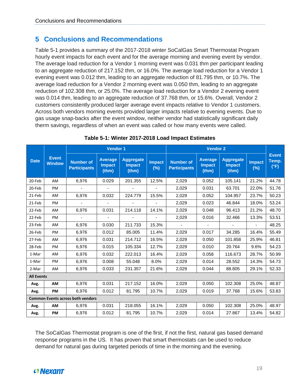### <span id="page-20-0"></span>**5 Conclusions and Recommendations**

Table 5-1 provides a summary of the 2017-2018 winter SoCalGas Smart Thermostat Program hourly event impacts for each event and for the average morning and evening event by vendor. The average load reduction for a Vendor 1 morning event was 0.031 thm per participant leading to an aggregate reduction of 217.152 thm, or 16.0%. The average load reduction for a Vendor 1 evening event was 0.012 thm, leading to an aggregate reduction of 81.795 thm, or 10.7%. The average load reduction for a Vendor 2 morning event was 0.050 thm, leading to an aggregate reduction of 102.308 thm, or 25.0%. The average load reduction for a Vendor 2 evening event was 0.014 thm, leading to an aggregate reduction of 37.768 thm, or 15.6%. Overall, Vendor 2 customers consistently produced larger average event impacts relative to Vendor 1 customers. Across both vendors morning events provided larger impacts relative to evening events. Due to gas usage snap-backs after the event window, neither vendor had statistically significant daily therm savings, regardless of when an event was called or how many events were called.

| <b>Date</b>                              | <b>Event</b><br><b>Window</b> | <b>Vendor 1</b>                         |                                          |                                            |                          | <b>Vendor 2</b>                         |                                          |                                            |                          |                               |
|------------------------------------------|-------------------------------|-----------------------------------------|------------------------------------------|--------------------------------------------|--------------------------|-----------------------------------------|------------------------------------------|--------------------------------------------|--------------------------|-------------------------------|
|                                          |                               | <b>Number of</b><br><b>Participants</b> | <b>Average</b><br><b>Impact</b><br>(thm) | <b>Aggregate</b><br><b>Impact</b><br>(thm) | <b>Impact</b><br>$(\%)$  | <b>Number of</b><br><b>Participants</b> | <b>Average</b><br><b>Impact</b><br>(thm) | <b>Aggregate</b><br><b>Impact</b><br>(thm) | <b>Impact</b><br>$(\%)$  | <b>Event</b><br>Temp.<br>(°F) |
| 20-Feb                                   | AM.                           | 6,976                                   | 0.029                                    | 201.355                                    | 12.5%                    | 2,029                                   | 0.052                                    | 105.141                                    | 21.2%                    | 44.78                         |
| 20-Feb                                   | PM                            | $\blacksquare$                          | $\overline{\phantom{a}}$                 | $\overline{\phantom{a}}$                   | $\overline{\phantom{0}}$ | 2,029                                   | 0.031                                    | 63.701                                     | 22.0%                    | 51.76                         |
| 21-Feb                                   | AM                            | 6,976                                   | 0.032                                    | 224.779                                    | 15.5%                    | 2,029                                   | 0.052                                    | 104.957                                    | 23.7%                    | 50.23                         |
| 21-Feb                                   | PM                            |                                         |                                          |                                            |                          | 2,029                                   | 0.023                                    | 46.844                                     | 18.0%                    | 53.24                         |
| 22-Feb                                   | AM                            | 6,976                                   | 0.031                                    | 214.118                                    | 14.1%                    | 2,029                                   | 0.048                                    | 96.413                                     | 21.2%                    | 48.70                         |
| 22-Feb                                   | PM                            |                                         | $\overline{\phantom{a}}$                 |                                            | ÷                        | 2,029                                   | 0.016                                    | 32.466                                     | 13.3%                    | 53.51                         |
| 23-Feb                                   | AM                            | 6,976                                   | 0.030                                    | 211.733                                    | 15.3%                    | $\sim$                                  | $\blacksquare$                           | $\overline{\phantom{a}}$                   | $\overline{\phantom{a}}$ | 48.25                         |
| 26-Feb                                   | PM                            | 6,976                                   | 0.012                                    | 85.005                                     | 11.4%                    | 2,029                                   | 0.017                                    | 34.285                                     | 16.4%                    | 55.49                         |
| 27-Feb                                   | AM                            | 6,976                                   | 0.031                                    | 214.712                                    | 16.5%                    | 2,029                                   | 0.050                                    | 101.858                                    | 25.9%                    | 46.81                         |
| 28-Feb                                   | PM                            | 6,976                                   | 0.015                                    | 105.334                                    | 12.7%                    | 2,029                                   | 0.010                                    | 20.764                                     | 9.6%                     | 54.23                         |
| 1-Mar                                    | AM                            | 6,976                                   | 0.032                                    | 222.013                                    | 16.4%                    | 2,029                                   | 0.058                                    | 116.673                                    | 28.7%                    | 50.99                         |
| 1-Mar                                    | PM                            | 6,976                                   | 0.008                                    | 55.048                                     | 8.0%                     | 2,029                                   | 0.014                                    | 28.552                                     | 14.3%                    | 54.73                         |
| 2-Mar                                    | AM                            | 6,976                                   | 0.033                                    | 231.357                                    | 21.6%                    | 2,029                                   | 0.044                                    | 88.805                                     | 29.1%                    | 52.33                         |
| <b>All Events</b>                        |                               |                                         |                                          |                                            |                          |                                         |                                          |                                            |                          |                               |
| Avg.                                     | <b>AM</b>                     | 6,976                                   | 0.031                                    | 217.152                                    | 16.0%                    | 2,029                                   | 0.050                                    | 102.308                                    | 25.0%                    | 48.87                         |
| Avg.                                     | PM                            | 6,976                                   | 0.012                                    | 81.795                                     | 10.7%                    | 2,029                                   | 0.019                                    | 37.768                                     | 15.6%                    | 53.83                         |
| <b>Common Events across both vendors</b> |                               |                                         |                                          |                                            |                          |                                         |                                          |                                            |                          |                               |
| Avg.                                     | AM                            | 6,976                                   | 0.031                                    | 218.055                                    | 16.1%                    | 2,029                                   | 0.050                                    | 102.308                                    | 25.0%                    | 48.97                         |
| Avg.                                     | PM                            | 6,976                                   | 0.012                                    | 81.795                                     | 10.7%                    | 2,029                                   | 0.014                                    | 27.867                                     | 13.4%                    | 54.82                         |

#### **Table 5-1: Winter 2017-2018 Load Impact Estimates**

The SoCalGas Thermostat program is one of the first, if not the first, natural gas based demand response programs in the US. It has proven that smart thermostats can be used to reduce demand for natural gas during targeted periods of time in the morning and the evening.

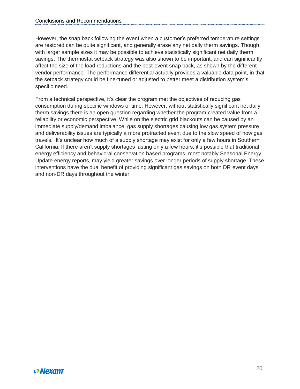However, the snap back following the event when a customer's preferred temperature settings are restored can be quite significant, and generally erase any net daily therm savings. Though, with larger sample sizes it may be possible to achieve statistically significant net daily therm savings. The thermostat setback strategy was also shown to be important, and can significantly affect the size of the load reductions and the post-event snap back, as shown by the different vendor performance. The performance differential actually provides a valuable data point, in that the setback strategy could be fine-tuned or adjusted to better meet a distribution system's specific need.

From a technical perspective, it's clear the program met the objectives of reducing gas consumption during specific windows of time. However, without statistically significant net daily therm savings there is an open question regarding whether the program created value from a reliability or economic perspective. While on the electric grid blackouts can be caused by an immediate supply/demand imbalance, gas supply shortages causing low gas system pressure and deliverability issues are typically a more protracted event due to the slow speed of how gas travels. It's unclear how much of a supply shortage may exist for only a few hours in Southern California. If there aren't supply shortages lasting only a few hours, it's possible that traditional energy efficiency and behavioral conservation based programs, most notably Seasonal Energy Update energy reports, may yield greater savings over longer periods of supply shortage. These interventions have the dual benefit of providing significant gas savings on both DR event days and non-DR days throughout the winter.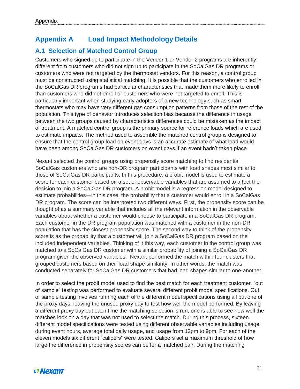## <span id="page-22-0"></span>**Appendix A Load Impact Methodology Details**

## <span id="page-22-1"></span>**A.1 Selection of Matched Control Group**

Customers who signed up to participate in the Vendor 1 or Vendor 2 programs are inherently different from customers who did not sign up to participate in the SoCalGas DR programs or customers who were not targeted by the thermostat vendors. For this reason, a control group must be constructed using statistical matching. It is possible that the customers who enrolled in the SoCalGas DR programs had particular characteristics that made them more likely to enroll than customers who did not enroll or customers who were not targeted to enroll. This is particularly important when studying early adopters of a new technology such as smart thermostats who may have very different gas consumption patterns from those of the rest of the population. This type of behavior introduces selection bias because the difference in usage between the two groups caused by characteristics differences could be mistaken as the impact of treatment. A matched control group is the primary source for reference loads which are used to estimate impacts. The method used to assemble the matched control group is designed to ensure that the control group load on event days is an accurate estimate of what load would have been among SoCalGas DR customers on event days if an event hadn't taken place.

Nexant selected the control groups using propensity score matching to find residential SoCalGas customers who are non-DR program participants with load shapes most similar to those of SoCalGas DR participants. In this procedure, a probit model is used to estimate a score for each customer based on a set of observable variables that are assumed to affect the decision to join a SoCalGas DR program. A probit model is a regression model designed to estimate probabilities—in this case, the probability that a customer would enroll in a SoCalGas DR program. The score can be interpreted two different ways. First, the propensity score can be thought of as a summary variable that includes all the relevant information in the observable variables about whether a customer would choose to participate in a SoCalGas DR program. Each customer in the DR program population was matched with a customer in the non-DR population that has the closest propensity score. The second way to think of the propensity score is as the probability that a customer will join a SoCalGas DR program based on the included independent variables. Thinking of it this way, each customer in the control group was matched to a SoCalGas DR customer with a similar probability of joining a SoCalGas DR program given the observed variables. Nexant performed the match within four clusters that grouped customers based on their load shape similarity. In other words, the match was conducted separately for SoCalGas DR customers that had load shapes similar to one-another.

In order to select the probit model used to find the best match for each treatment customer, "out of sample" testing was performed to evaluate several different probit model specifications. Out of sample testing involves running each of the different model specifications using all but one of the proxy days, leaving the unused proxy day to test how well the model performed. By leaving a different proxy day out each time the matching selection is run, one is able to see how well the matches look on a day that was not used to select the match. During this process, sixteen different model specifications were tested using different observable variables including usage during event hours, average total daily usage, and usage from 12pm to 9pm. For each of the eleven models six different "calipers" were tested. Calipers set a maximum threshold of how large the difference in propensity scores can be for a matched pair. During the matching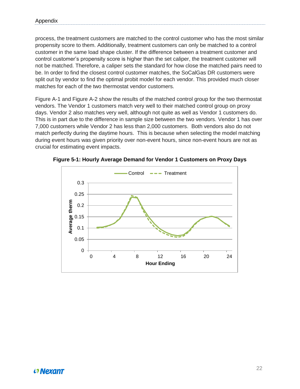process, the treatment customers are matched to the control customer who has the most similar propensity score to them. Additionally, treatment customers can only be matched to a control customer in the same load shape cluster. If the difference between a treatment customer and control customer's propensity score is higher than the set caliper, the treatment customer will not be matched. Therefore, a caliper sets the standard for how close the matched pairs need to be. In order to find the closest control customer matches, the SoCalGas DR customers were split out by vendor to find the optimal probit model for each vendor. This provided much closer matches for each of the two thermostat vendor customers.

Figure A-1 and Figure A-2 show the results of the matched control group for the two thermostat vendors. The Vendor 1 customers match very well to their matched control group on proxy days. Vendor 2 also matches very well, although not quite as well as Vendor 1 customers do. This is in part due to the difference in sample size between the two vendors. Vendor 1 has over 7,000 customers while Vendor 2 has less than 2,000 customers. Both vendors also do not match perfectly during the daytime hours. This is because when selecting the model matching during event hours was given priority over non-event hours, since non-event hours are not as crucial for estimating event impacts.



**Figure 5-1: Hourly Average Demand for Vendor 1 Customers on Proxy Days**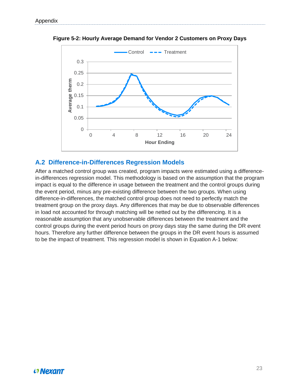

**Figure 5-2: Hourly Average Demand for Vendor 2 Customers on Proxy Days**

#### <span id="page-24-0"></span>**A.2 Difference-in-Differences Regression Models**

After a matched control group was created, program impacts were estimated using a differencein-differences regression model. This methodology is based on the assumption that the program impact is equal to the difference in usage between the treatment and the control groups during the event period, minus any pre-existing difference between the two groups. When using difference-in-differences, the matched control group does not need to perfectly match the treatment group on the proxy days. Any differences that may be due to observable differences in load not accounted for through matching will be netted out by the differencing. It is a reasonable assumption that any unobservable differences between the treatment and the control groups during the event period hours on proxy days stay the same during the DR event hours. Therefore any further difference between the groups in the DR event hours is assumed to be the impact of treatment. This regression model is shown in Equation A-1 below: